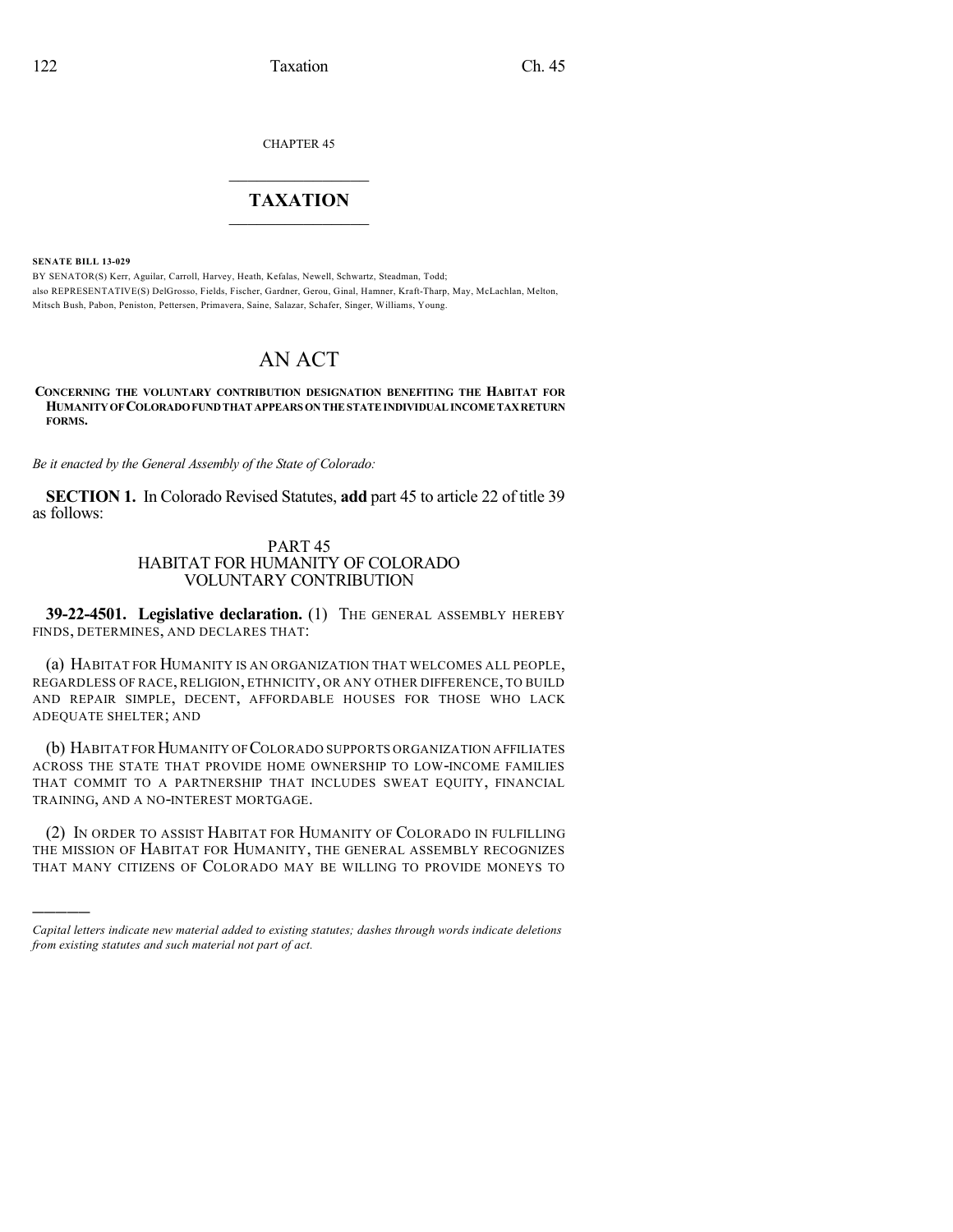CHAPTER 45

## $\mathcal{L}_\text{max}$  . The set of the set of the set of the set of the set of the set of the set of the set of the set of the set of the set of the set of the set of the set of the set of the set of the set of the set of the set **TAXATION**  $\_$

**SENATE BILL 13-029**

)))))

BY SENATOR(S) Kerr, Aguilar, Carroll, Harvey, Heath, Kefalas, Newell, Schwartz, Steadman, Todd; also REPRESENTATIVE(S) DelGrosso, Fields, Fischer, Gardner, Gerou, Ginal, Hamner, Kraft-Tharp, May, McLachlan, Melton, Mitsch Bush, Pabon, Peniston, Pettersen, Primavera, Saine, Salazar, Schafer, Singer, Williams, Young.

## AN ACT

**CONCERNING THE VOLUNTARY CONTRIBUTION DESIGNATION BENEFITING THE HABITAT FOR HUMANITYOF COLORADOFUNDTHAT APPEARS ONTHE STATEINDIVIDUAL INCOME TAXRETURN FORMS.**

*Be it enacted by the General Assembly of the State of Colorado:*

**SECTION 1.** In Colorado Revised Statutes, **add** part 45 to article 22 of title 39 as follows:

## PART 45 HABITAT FOR HUMANITY OF COLORADO VOLUNTARY CONTRIBUTION

**39-22-4501. Legislative declaration.** (1) THE GENERAL ASSEMBLY HEREBY FINDS, DETERMINES, AND DECLARES THAT:

(a) HABITAT FOR HUMANITY IS AN ORGANIZATION THAT WELCOMES ALL PEOPLE, REGARDLESS OF RACE, RELIGION, ETHNICITY, OR ANY OTHER DIFFERENCE, TO BUILD AND REPAIR SIMPLE, DECENT, AFFORDABLE HOUSES FOR THOSE WHO LACK ADEQUATE SHELTER; AND

(b) HABITAT FORHUMANITY OFCOLORADO SUPPORTS ORGANIZATION AFFILIATES ACROSS THE STATE THAT PROVIDE HOME OWNERSHIP TO LOW-INCOME FAMILIES THAT COMMIT TO A PARTNERSHIP THAT INCLUDES SWEAT EQUITY, FINANCIAL TRAINING, AND A NO-INTEREST MORTGAGE.

(2) IN ORDER TO ASSIST HABITAT FOR HUMANITY OF COLORADO IN FULFILLING THE MISSION OF HABITAT FOR HUMANITY, THE GENERAL ASSEMBLY RECOGNIZES THAT MANY CITIZENS OF COLORADO MAY BE WILLING TO PROVIDE MONEYS TO

*Capital letters indicate new material added to existing statutes; dashes through words indicate deletions from existing statutes and such material not part of act.*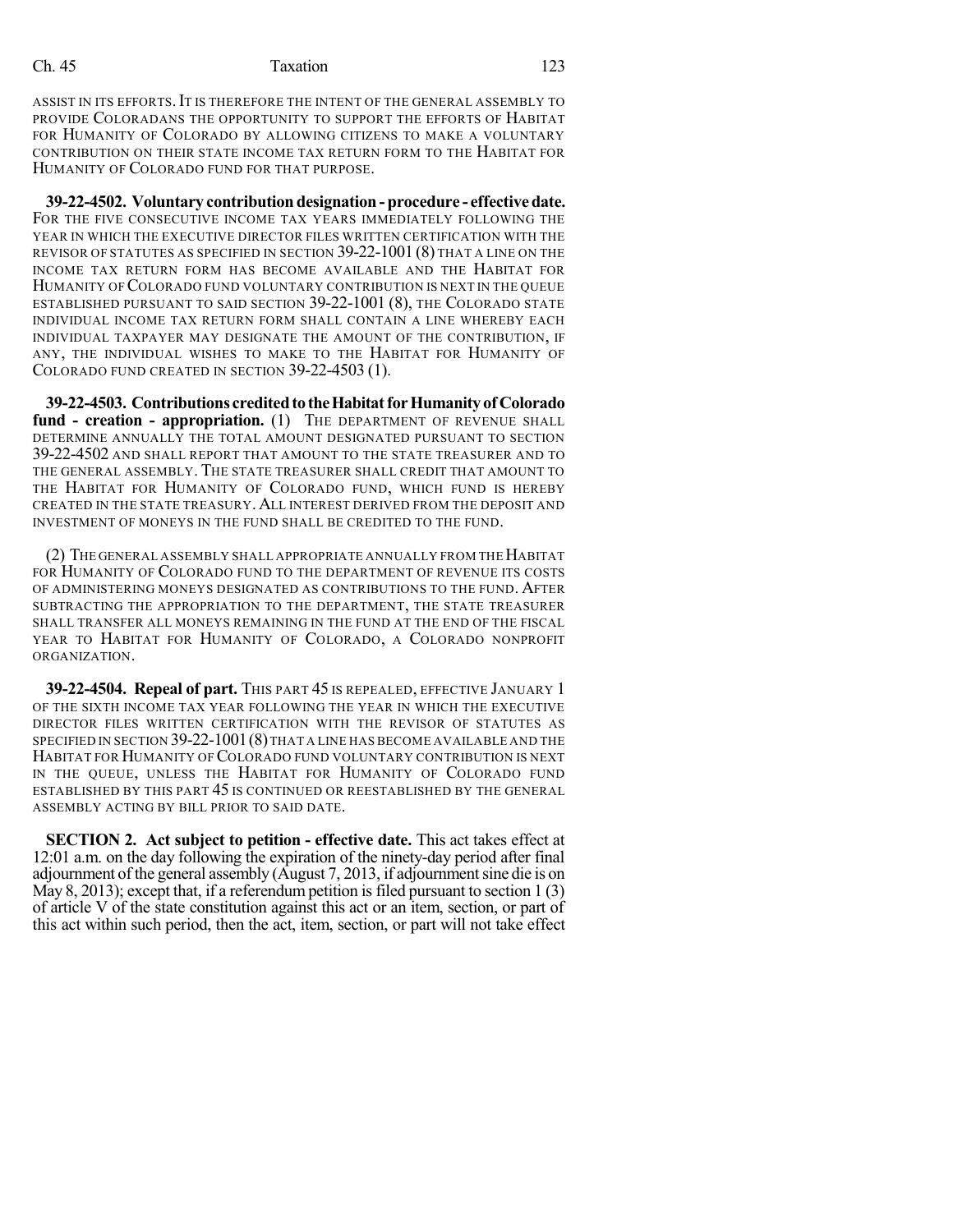## Ch. 45 Taxation 123

ASSIST IN ITS EFFORTS. IT IS THEREFORE THE INTENT OF THE GENERAL ASSEMBLY TO PROVIDE COLORADANS THE OPPORTUNITY TO SUPPORT THE EFFORTS OF HABITAT FOR HUMANITY OF COLORADO BY ALLOWING CITIZENS TO MAKE A VOLUNTARY CONTRIBUTION ON THEIR STATE INCOME TAX RETURN FORM TO THE HABITAT FOR HUMANITY OF COLORADO FUND FOR THAT PURPOSE.

**39-22-4502. Voluntary contribution designation - procedure - effectivedate.** FOR THE FIVE CONSECUTIVE INCOME TAX YEARS IMMEDIATELY FOLLOWING THE YEAR IN WHICH THE EXECUTIVE DIRECTOR FILES WRITTEN CERTIFICATION WITH THE REVISOR OF STATUTES AS SPECIFIED IN SECTION 39-22-1001 (8) THAT A LINE ON THE INCOME TAX RETURN FORM HAS BECOME AVAILABLE AND THE HABITAT FOR HUMANITY OF COLORADO FUND VOLUNTARY CONTRIBUTION IS NEXT IN THE QUEUE ESTABLISHED PURSUANT TO SAID SECTION 39-22-1001 (8), THE COLORADO STATE INDIVIDUAL INCOME TAX RETURN FORM SHALL CONTAIN A LINE WHEREBY EACH INDIVIDUAL TAXPAYER MAY DESIGNATE THE AMOUNT OF THE CONTRIBUTION, IF ANY, THE INDIVIDUAL WISHES TO MAKE TO THE HABITAT FOR HUMANITY OF COLORADO FUND CREATED IN SECTION 39-22-4503 (1).

**39-22-4503. Contributions creditedtotheHabitatforHumanityof Colorado fund - creation - appropriation.** (1) THE DEPARTMENT OF REVENUE SHALL DETERMINE ANNUALLY THE TOTAL AMOUNT DESIGNATED PURSUANT TO SECTION 39-22-4502 AND SHALL REPORT THAT AMOUNT TO THE STATE TREASURER AND TO THE GENERAL ASSEMBLY. THE STATE TREASURER SHALL CREDIT THAT AMOUNT TO THE HABITAT FOR HUMANITY OF COLORADO FUND, WHICH FUND IS HEREBY CREATED IN THE STATE TREASURY. ALL INTEREST DERIVED FROM THE DEPOSIT AND INVESTMENT OF MONEYS IN THE FUND SHALL BE CREDITED TO THE FUND.

(2) THE GENERAL ASSEMBLY SHALL APPROPRIATE ANNUALLY FROM THEHABITAT FOR HUMANITY OF COLORADO FUND TO THE DEPARTMENT OF REVENUE ITS COSTS OF ADMINISTERING MONEYS DESIGNATED AS CONTRIBUTIONS TO THE FUND. AFTER SUBTRACTING THE APPROPRIATION TO THE DEPARTMENT, THE STATE TREASURER SHALL TRANSFER ALL MONEYS REMAINING IN THE FUND AT THE END OF THE FISCAL YEAR TO HABITAT FOR HUMANITY OF COLORADO, A COLORADO NONPROFIT ORGANIZATION.

**39-22-4504. Repeal of part.** THIS PART 45 IS REPEALED, EFFECTIVE JANUARY 1 OF THE SIXTH INCOME TAX YEAR FOLLOWING THE YEAR IN WHICH THE EXECUTIVE DIRECTOR FILES WRITTEN CERTIFICATION WITH THE REVISOR OF STATUTES AS SPECIFIED IN SECTION 39-22-1001(8)THAT A LINE HAS BECOME AVAILABLE AND THE HABITAT FOR HUMANITY OF COLORADO FUND VOLUNTARY CONTRIBUTION IS NEXT IN THE QUEUE, UNLESS THE HABITAT FOR HUMANITY OF COLORADO FUND ESTABLISHED BY THIS PART 45 IS CONTINUED OR REESTABLISHED BY THE GENERAL ASSEMBLY ACTING BY BILL PRIOR TO SAID DATE.

**SECTION 2. Act subject to petition - effective date.** This act takes effect at 12:01 a.m. on the day following the expiration of the ninety-day period after final adjournment of the general assembly (August 7, 2013, if adjournmentsine die is on May 8, 2013); except that, if a referendum petition is filed pursuant to section  $1(3)$ of article V of the state constitution against this act or an item, section, or part of this act within such period, then the act, item, section, or part will not take effect